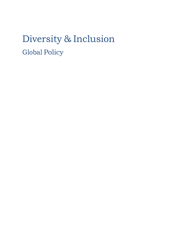## Diversity & Inclusion Global Policy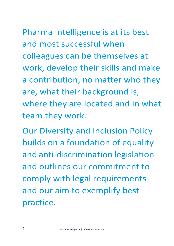## Pharma Intelligence is at its best and most successful when colleagues can be themselves at

work, develop their skills and make a contribution, no matter who they are, what their background is, where they are located and in what team they work.

Our Diversity and Inclusion Policy builds on a foundation of equality and anti-discrimination legislation and outlines our commitment to comply with legal requirements and our aim to exemplify best practice.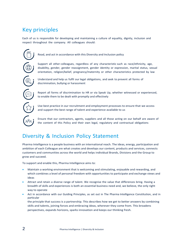## Key principles

Each of us is responsible for developing and maintaining a culture of equality, dignity, inclusion and respect throughout the company. All colleagues should:



Read, and act in accordance with this Diversity and Inclusion policy

Support all other colleagues, regardless of any characteristic such as race/ethnicity, age, disability, gender, gender reassignment, gender identity or expression, marital status, sexual orientation, religion/belief, pregnancy/maternity or other characteristics protected by law

Understand and help us fulfil our legal obligations, and seek to prevent all forms of discrimination, bullying or harassment

Report all forms of discrimination to HR or via Speak Up, whether witnessed or experienced, to enable them to be dealt with promptly and effectively

Use best practice in our recruitment and employment processes to ensure that we access and support the best range of talent and experience available to us

Ensure that our contractors, agents, suppliers and all those acting on our behalf are aware of the content of this Policy and their own legal, regulatory and contractual obligations

### Diversity & Inclusion Policy Statement

Pharma Intelligence is a people business with an international reach. The ideas, energy, participation and ambition of each Colleague are what creates and develops our content, products and services, connects customers and communities across the world and helps individual Brands, Divisions and the Group to grow and succeed.

To support and enable this, Pharma Intelligence aims to:

- Maintain a working environment that is welcoming and stimulating, enjoyable and rewarding, and which combines a level of personal freedom with opportunities to participate and exchange views and ideas
- Attract and retain a diverse range of talent. We recognise the value that differences bring. Having a breadth of skills and experiences is both an essential business need and, we believe, the only right way to operate
- Act in accordance with our Guiding Principles, as set out in The Pharma Intelligence Constitution, and in particular

the principle that success is a partnership. This describes how we get to better answers by combining skills and talents, joining forces and embracing ideas, wherever they come from. This broadens perspectives, expands horizons, sparks innovation and keeps our thinking fresh.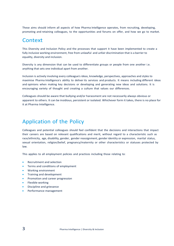These aims should inform all aspects of how Pharma Intelligence operates, from recruiting, developing, promoting and retaining colleagues, to the opportunities and forums on offer, and how we go to market.

#### Context

This Diversity and Inclusion Policy and the processes that support it have been implemented to create a fully inclusive working environment, free from unlawful and unfair discrimination that is a barrier to equality, diversity and inclusion.

Diversity is any dimension that can be used to differentiate groups or people from one another i.e. anything that sets one individual apart from another.

Inclusion is actively involving every colleague's ideas, knowledge, perspectives, approaches and styles to maximise Pharma Intelligence's ability to deliver its services and products. It means including different ideas and opinions when making key decisions or developing and generating new ideas and solutions. It is encouraging variety of thought and creating a culture that values our differences.

Colleagues should be aware that bullying and/or harassment are not necessarily always obvious or apparent to others. It can be insidious, persistent or isolated. Whichever form it takes, there is no place for it at Pharma Intelligence.

### Application of the Policy

Colleagues and potential colleagues should feel confident that the decisions and interactions that impact their careers are based on relevant qualifications and merit, without regard to a characteristic such as race/ethnicity, age, disability, gender, gender reassignment, gender identity or expression, marital status, sexual orientation, religion/belief, pregnancy/maternity or other characteristics or statuses protected by law.

This applies to all employment policies and practices including those relating to:

- Recruitment and selection
- Terms and conditions of employment
- Working environment
- Training and development
- Promotion and career progression
- Flexible working
- Discipline and grievance
- Performance management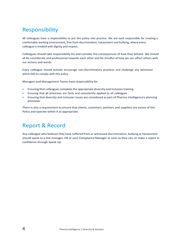## Responsibility

All colleagues have a responsibility to put this policy into practice. We are each responsible for creating a comfortable working environment, free from discrimination, harassment and bullying, where every colleague is treated with dignity and respect.

Colleagues should take responsibility for and consider the consequences of how they behave. We should all be considerate and professional towards each other and be mindful of how we can affect others with our actions and words.

Every colleague should actively encourage non-discriminatory practices and challenge any behaviour which fails to comply with this policy.

Managers and Management Teams have responsibility for:

- Ensuring that colleagues complete the appropriate diversity and inclusion training
- Ensuring that all processes are fairly and consistently applied to all colleagues
- Ensuring that diversity and inclusion issues are considered as part of Pharma Intelligence's planning processes

There is also a requirement to ensure that clients, customers, partners and suppliers are aware of this Policy and operate within it as appropriate.

## Report & Record

Any colleague who believes they have suffered from or witnessed discrimination, bullying or harassment should speak to a line manager, HR or your Compliance Manager as soon as they can, or make a report in confidence through Speak Up.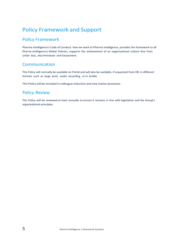## Policy Framework and Support

#### Policy Framework

Pharma Intelligence's Code of Conduct: how we work at Pharma Intelligence, provides the framework to all Pharma Intelligence's Global Policies, supports the achievement of an organisational culture free from unfair bias, discrimination and harassment.

#### Communication

This Policy will normally be available on Portal and will also be available, if requested from HR, in different formats such as large print, audio recording, or in braille.

This Policy will be included in colleague induction and new starter processes.

#### Policy Review

This Policy will be reviewed at least annually to ensure it remains in line with legislation and the Group's organisational principles.